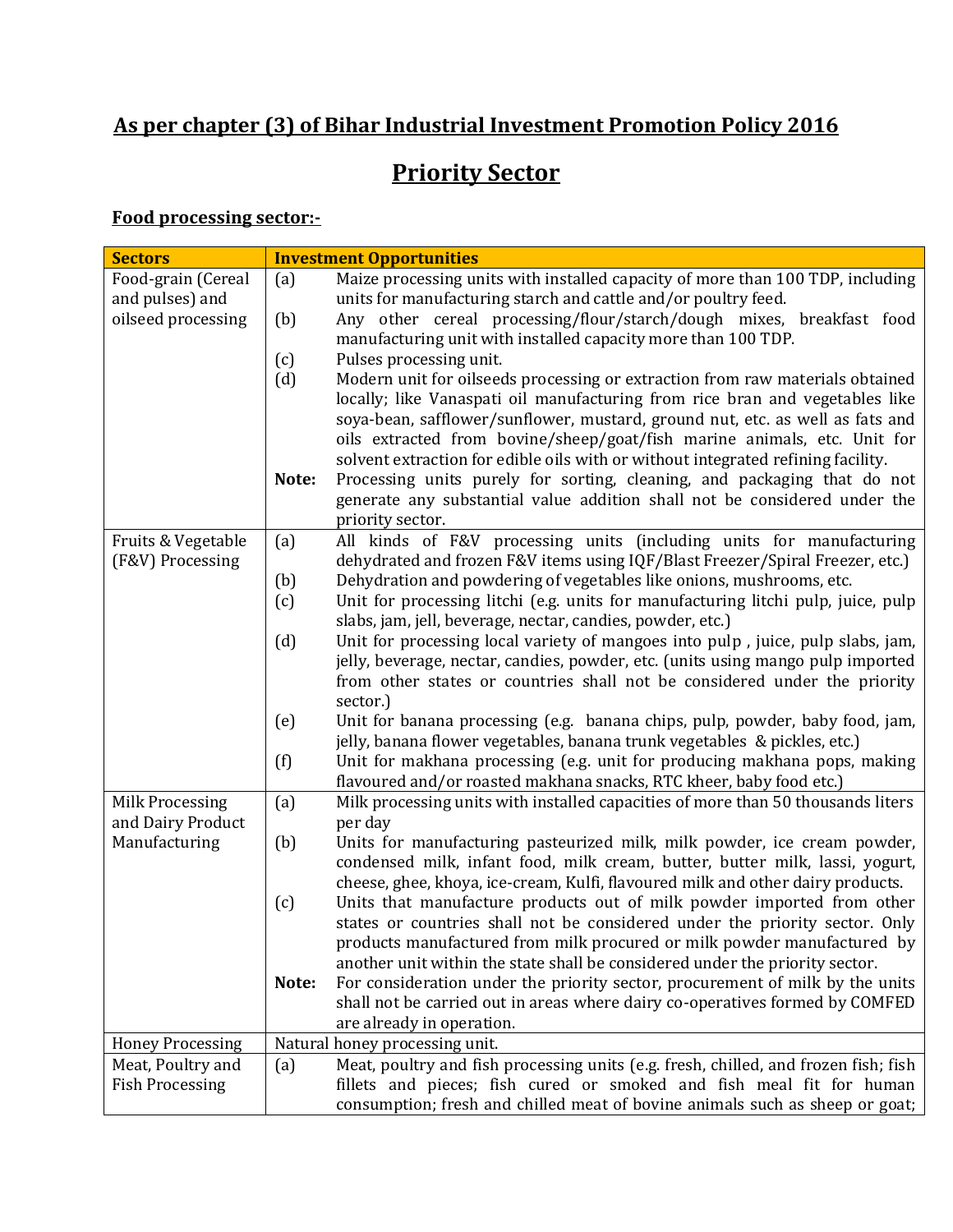## **As per chapter (3) of Bihar Industrial Investment Promotion Policy 2016**

# **Priority Sector**

#### **Food processing sector:-**

| <b>Sectors</b>          |       | <b>Investment Opportunities</b>                                                                                                                           |
|-------------------------|-------|-----------------------------------------------------------------------------------------------------------------------------------------------------------|
| Food-grain (Cereal      | (a)   | Maize processing units with installed capacity of more than 100 TDP, including                                                                            |
| and pulses) and         |       | units for manufacturing starch and cattle and/or poultry feed.                                                                                            |
| oilseed processing      | (b)   | Any other cereal processing/flour/starch/dough mixes, breakfast food                                                                                      |
|                         |       | manufacturing unit with installed capacity more than 100 TDP.                                                                                             |
|                         | (c)   | Pulses processing unit.                                                                                                                                   |
|                         | (d)   | Modern unit for oilseeds processing or extraction from raw materials obtained                                                                             |
|                         |       | locally; like Vanaspati oil manufacturing from rice bran and vegetables like                                                                              |
|                         |       | soya-bean, safflower/sunflower, mustard, ground nut, etc. as well as fats and                                                                             |
|                         |       | oils extracted from bovine/sheep/goat/fish marine animals, etc. Unit for                                                                                  |
|                         |       | solvent extraction for edible oils with or without integrated refining facility.                                                                          |
|                         | Note: | Processing units purely for sorting, cleaning, and packaging that do not                                                                                  |
|                         |       | generate any substantial value addition shall not be considered under the                                                                                 |
|                         |       | priority sector.                                                                                                                                          |
| Fruits & Vegetable      | (a)   | All kinds of F&V processing units (including units for manufacturing                                                                                      |
| (F&V) Processing        |       | dehydrated and frozen F&V items using IQF/Blast Freezer/Spiral Freezer, etc.)                                                                             |
|                         | (b)   | Dehydration and powdering of vegetables like onions, mushrooms, etc.                                                                                      |
|                         | (c)   | Unit for processing litchi (e.g. units for manufacturing litchi pulp, juice, pulp                                                                         |
|                         |       | slabs, jam, jell, beverage, nectar, candies, powder, etc.)                                                                                                |
|                         | (d)   | Unit for processing local variety of mangoes into pulp, juice, pulp slabs, jam,                                                                           |
|                         |       | jelly, beverage, nectar, candies, powder, etc. (units using mango pulp imported                                                                           |
|                         |       | from other states or countries shall not be considered under the priority                                                                                 |
|                         |       | sector.)                                                                                                                                                  |
|                         | (e)   | Unit for banana processing (e.g. banana chips, pulp, powder, baby food, jam,                                                                              |
|                         |       | jelly, banana flower vegetables, banana trunk vegetables & pickles, etc.)                                                                                 |
|                         | (f)   | Unit for makhana processing (e.g. unit for producing makhana pops, making                                                                                 |
|                         |       | flavoured and/or roasted makhana snacks, RTC kheer, baby food etc.)                                                                                       |
| Milk Processing         | (a)   | Milk processing units with installed capacities of more than 50 thousands liters                                                                          |
| and Dairy Product       |       | per day                                                                                                                                                   |
| Manufacturing           | (b)   | Units for manufacturing pasteurized milk, milk powder, ice cream powder,                                                                                  |
|                         |       | condensed milk, infant food, milk cream, butter, butter milk, lassi, yogurt,                                                                              |
|                         |       | cheese, ghee, khoya, ice-cream, Kulfi, flavoured milk and other dairy products.<br>Units that manufacture products out of milk powder imported from other |
|                         | (c)   | states or countries shall not be considered under the priority sector. Only                                                                               |
|                         |       | products manufactured from milk procured or milk powder manufactured by                                                                                   |
|                         |       | another unit within the state shall be considered under the priority sector.                                                                              |
|                         | Note: | For consideration under the priority sector, procurement of milk by the units                                                                             |
|                         |       | shall not be carried out in areas where dairy co-operatives formed by COMFED                                                                              |
|                         |       | are already in operation.                                                                                                                                 |
| <b>Honey Processing</b> |       | Natural honey processing unit.                                                                                                                            |
| Meat, Poultry and       | (a)   | Meat, poultry and fish processing units (e.g. fresh, chilled, and frozen fish; fish                                                                       |
| <b>Fish Processing</b>  |       | fillets and pieces; fish cured or smoked and fish meal fit for human                                                                                      |
|                         |       | consumption; fresh and chilled meat of bovine animals such as sheep or goat;                                                                              |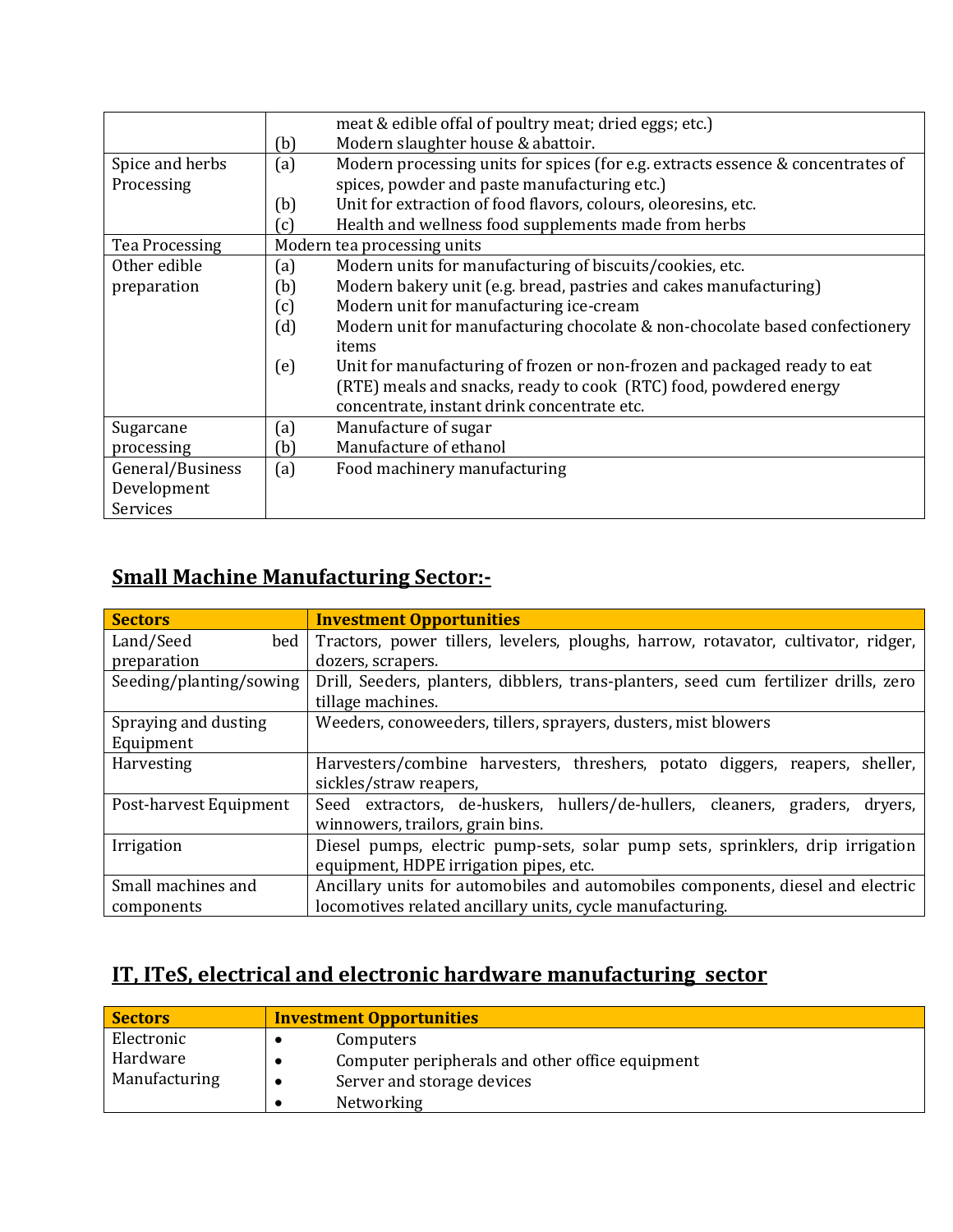|                  |     | meat & edible offal of poultry meat; dried eggs; etc.)                          |
|------------------|-----|---------------------------------------------------------------------------------|
|                  | (b) | Modern slaughter house & abattoir.                                              |
| Spice and herbs  | (a) | Modern processing units for spices (for e.g. extracts essence & concentrates of |
| Processing       |     | spices, powder and paste manufacturing etc.)                                    |
|                  | (b) | Unit for extraction of food flavors, colours, oleoresins, etc.                  |
|                  | (c) | Health and wellness food supplements made from herbs                            |
| Tea Processing   |     | Modern tea processing units                                                     |
| Other edible     | (a) | Modern units for manufacturing of biscuits/cookies, etc.                        |
| preparation      | (b) | Modern bakery unit (e.g. bread, pastries and cakes manufacturing)               |
|                  | (c) | Modern unit for manufacturing ice-cream                                         |
|                  | (d) | Modern unit for manufacturing chocolate & non-chocolate based confectionery     |
|                  |     | items                                                                           |
|                  | (e) | Unit for manufacturing of frozen or non-frozen and packaged ready to eat        |
|                  |     | (RTE) meals and snacks, ready to cook (RTC) food, powdered energy               |
|                  |     | concentrate, instant drink concentrate etc.                                     |
| Sugarcane        | (a) | Manufacture of sugar                                                            |
| processing       | (b) | Manufacture of ethanol                                                          |
| General/Business | (a) | Food machinery manufacturing                                                    |
| Development      |     |                                                                                 |
| Services         |     |                                                                                 |

## **Small Machine Manufacturing Sector:-**

| <b>Sectors</b>          | <b>Investment Opportunities</b>                                                      |
|-------------------------|--------------------------------------------------------------------------------------|
| Land/Seed<br>bed        | Tractors, power tillers, levelers, ploughs, harrow, rotavator, cultivator, ridger,   |
| preparation             | dozers, scrapers.                                                                    |
| Seeding/planting/sowing | Drill, Seeders, planters, dibblers, trans-planters, seed cum fertilizer drills, zero |
|                         | tillage machines.                                                                    |
| Spraying and dusting    | Weeders, conoweeders, tillers, sprayers, dusters, mist blowers                       |
| Equipment               |                                                                                      |
| Harvesting              | Harvesters/combine harvesters, threshers, potato diggers, reapers, sheller,          |
|                         | sickles/straw reapers,                                                               |
| Post-harvest Equipment  | Seed extractors, de-huskers, hullers/de-hullers, cleaners, graders, dryers,          |
|                         | winnowers, trailors, grain bins.                                                     |
| Irrigation              | Diesel pumps, electric pump-sets, solar pump sets, sprinklers, drip irrigation       |
|                         | equipment, HDPE irrigation pipes, etc.                                               |
| Small machines and      | Ancillary units for automobiles and automobiles components, diesel and electric      |
| components              | locomotives related ancillary units, cycle manufacturing.                            |

## **IT, ITeS, electrical and electronic hardware manufacturing sector**

| <b>Sectors</b> | <b>Investment Opportunities</b>                 |  |
|----------------|-------------------------------------------------|--|
| Electronic     | Computers                                       |  |
| Hardware       | Computer peripherals and other office equipment |  |
| Manufacturing  | Server and storage devices                      |  |
|                | Networking                                      |  |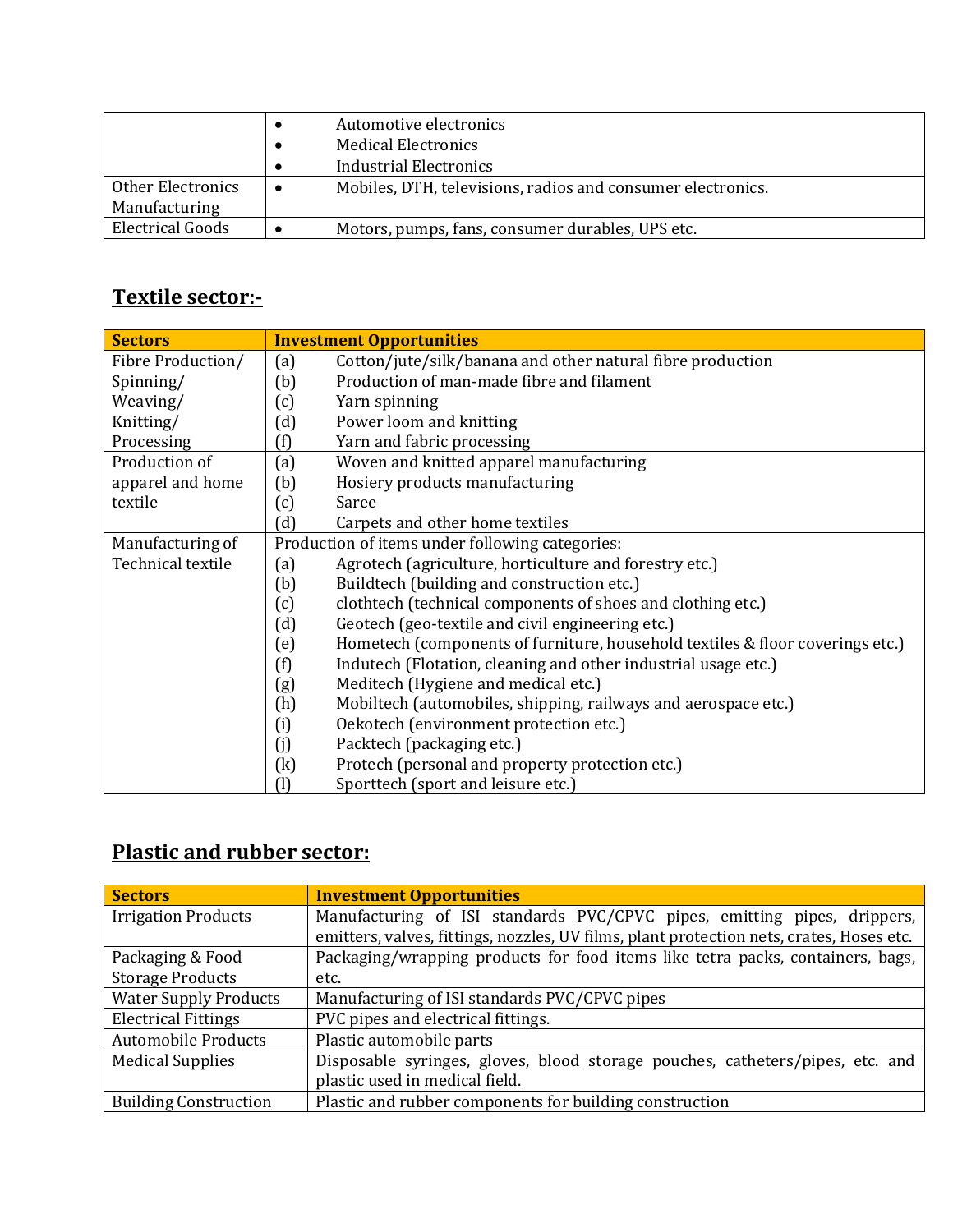|                                    | Automotive electronics<br><b>Medical Electronics</b><br><b>Industrial Electronics</b> |
|------------------------------------|---------------------------------------------------------------------------------------|
| Other Electronics<br>Manufacturing | Mobiles, DTH, televisions, radios and consumer electronics.                           |
| <b>Electrical Goods</b>            | Motors, pumps, fans, consumer durables, UPS etc.                                      |

## **Textile sector:-**

| <b>Sectors</b>    |                                                 | <b>Investment Opportunities</b>                                               |
|-------------------|-------------------------------------------------|-------------------------------------------------------------------------------|
| Fibre Production/ | (a)                                             | Cotton/jute/silk/banana and other natural fibre production                    |
| Spinning/         | (b)                                             | Production of man-made fibre and filament                                     |
| Weaving/          | (c)                                             | Yarn spinning                                                                 |
| Knitting/         | (d)                                             | Power loom and knitting                                                       |
| Processing        | (f)                                             | Yarn and fabric processing                                                    |
| Production of     | (a)                                             | Woven and knitted apparel manufacturing                                       |
| apparel and home  | (b)                                             | Hosiery products manufacturing                                                |
| textile           | (c)                                             | Saree                                                                         |
|                   | (d)                                             | Carpets and other home textiles                                               |
| Manufacturing of  | Production of items under following categories: |                                                                               |
| Technical textile | (a)                                             | Agrotech (agriculture, horticulture and forestry etc.)                        |
|                   | (b)                                             | Buildtech (building and construction etc.)                                    |
|                   | (c)                                             | clothtech (technical components of shoes and clothing etc.)                   |
|                   | (d)                                             | Geotech (geo-textile and civil engineering etc.)                              |
|                   | (e)                                             | Hometech (components of furniture, household textiles & floor coverings etc.) |
|                   | (f)                                             | Indutech (Flotation, cleaning and other industrial usage etc.)                |
|                   | (g)                                             | Meditech (Hygiene and medical etc.)                                           |
|                   | (h)                                             | Mobiltech (automobiles, shipping, railways and aerospace etc.)                |
|                   | (i)                                             | Oekotech (environment protection etc.)                                        |
|                   | (j)                                             | Packtech (packaging etc.)                                                     |
|                   | $\left(\mathrm{k}\right)$                       | Protech (personal and property protection etc.)                               |
|                   | (1)                                             | Sporttech (sport and leisure etc.)                                            |

## **Plastic and rubber sector:**

| <b>Sectors</b>               | <b>Investment Opportunities</b>                                                          |
|------------------------------|------------------------------------------------------------------------------------------|
| <b>Irrigation Products</b>   | Manufacturing of ISI standards PVC/CPVC pipes, emitting pipes, drippers,                 |
|                              | emitters, valves, fittings, nozzles, UV films, plant protection nets, crates, Hoses etc. |
| Packaging & Food             | Packaging/wrapping products for food items like tetra packs, containers, bags,           |
| <b>Storage Products</b>      | etc.                                                                                     |
| <b>Water Supply Products</b> | Manufacturing of ISI standards PVC/CPVC pipes                                            |
| <b>Electrical Fittings</b>   | PVC pipes and electrical fittings.                                                       |
| <b>Automobile Products</b>   | Plastic automobile parts                                                                 |
| <b>Medical Supplies</b>      | Disposable syringes, gloves, blood storage pouches, catheters/pipes, etc. and            |
|                              | plastic used in medical field.                                                           |
| <b>Building Construction</b> | Plastic and rubber components for building construction                                  |